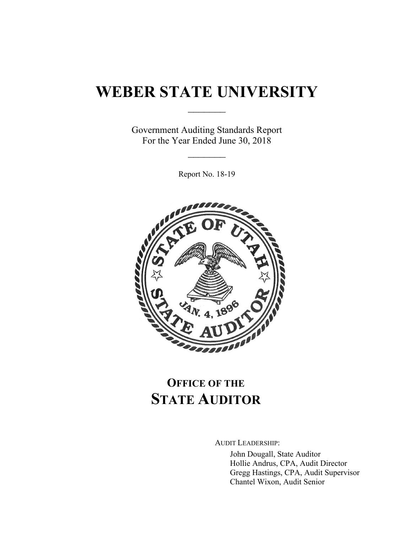# **WEBER STATE UNIVERSITY**

 $\frac{1}{2}$ 

Government Auditing Standards Report For the Year Ended June 30, 2018

 $\frac{1}{2}$ 

Report No. 18-19



# **OFFICE OF THE STATE AUDITOR**

AUDIT LEADERSHIP:

John Dougall, State Auditor Hollie Andrus, CPA, Audit Director Gregg Hastings, CPA, Audit Supervisor Chantel Wixon, Audit Senior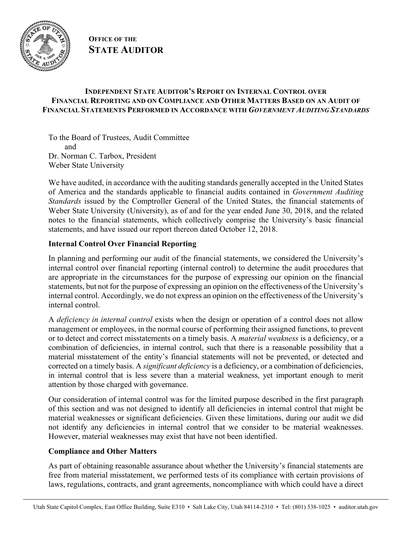

**OFFICE OF THE STATE AUDITOR**

#### **INDEPENDENT STATE AUDITOR'S REPORT ON INTERNAL CONTROL OVER FINANCIAL REPORTING AND ON COMPLIANCE AND OTHER MATTERS BASED ON AN AUDIT OF FINANCIAL STATEMENTS PERFORMED IN ACCORDANCE WITH** *GOVERNMENT AUDITING STANDARDS*

To the Board of Trustees, Audit Committee and Dr. Norman C. Tarbox, President Weber State University

We have audited, in accordance with the auditing standards generally accepted in the United States of America and the standards applicable to financial audits contained in *Government Auditing Standards* issued by the Comptroller General of the United States, the financial statements of Weber State University (University), as of and for the year ended June 30, 2018, and the related notes to the financial statements, which collectively comprise the University's basic financial statements, and have issued our report thereon dated October 12, 2018.

## **Internal Control Over Financial Reporting**

In planning and performing our audit of the financial statements, we considered the University's internal control over financial reporting (internal control) to determine the audit procedures that are appropriate in the circumstances for the purpose of expressing our opinion on the financial statements, but not for the purpose of expressing an opinion on the effectiveness of the University's internal control. Accordingly, we do not express an opinion on the effectiveness of the University's internal control.

A *deficiency in internal control* exists when the design or operation of a control does not allow management or employees, in the normal course of performing their assigned functions, to prevent or to detect and correct misstatements on a timely basis. A *material weakness* is a deficiency, or a combination of deficiencies, in internal control, such that there is a reasonable possibility that a material misstatement of the entity's financial statements will not be prevented, or detected and corrected on a timely basis. A *significant deficiency* is a deficiency, or a combination of deficiencies, in internal control that is less severe than a material weakness, yet important enough to merit attention by those charged with governance.

Our consideration of internal control was for the limited purpose described in the first paragraph of this section and was not designed to identify all deficiencies in internal control that might be material weaknesses or significant deficiencies. Given these limitations, during our audit we did not identify any deficiencies in internal control that we consider to be material weaknesses. However, material weaknesses may exist that have not been identified.

## **Compliance and Other Matters**

As part of obtaining reasonable assurance about whether the University's financial statements are free from material misstatement, we performed tests of its compliance with certain provisions of laws, regulations, contracts, and grant agreements, noncompliance with which could have a direct